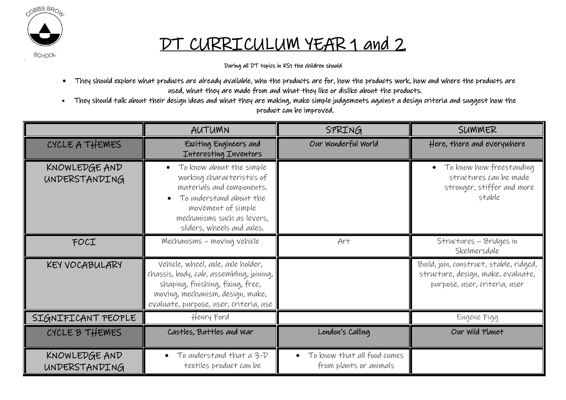

## DT CURRICULUM YEAR 1 and 2

**SCHOOL** 

During all DT topics in KS1 the children should

- They should explore what products are already available, who the products are for, how the products work, how and where the products are used, what they are made from and what they like or dislike about the products.
- They should talk about their design ideas and what they are making, make simple judgements against a design criteria and suggest how the product can be improved.

|                                | AUTUMN                                                                                                                                                                                            | SPRING                                                  | SUMMER                                                                                                         |
|--------------------------------|---------------------------------------------------------------------------------------------------------------------------------------------------------------------------------------------------|---------------------------------------------------------|----------------------------------------------------------------------------------------------------------------|
| CYCLE A THEMES                 | Exciting Engineers and<br>Interesting Inventors                                                                                                                                                   | Our Wonderful World                                     | Here, there and everywhere                                                                                     |
| KNOWLEDGE AND<br>UNDERSTANDING | To know about the simple<br>working characteristics of<br>materials and components.<br>To understand about the<br>movement of simple<br>mechanisms such as levers,<br>sliders, wheels and axles.  |                                                         | • To know how freestanding<br>structures can be made<br>stronger, stiffer and more<br>stable                   |
| FOCI                           | Mechanisms - moving vehicle                                                                                                                                                                       | Art                                                     | Structures - Bridges in<br>Skelmersdale                                                                        |
| KEY VOCABULARY                 | Vehicle, wheel, axle, axle holder,<br>chassis, body, cab, assembling, joining,<br>shaping, finishing, fixing, free,<br>moving, mechanism, design, make,<br>evaluate, purpose, user, criteria, use |                                                         | Build, join, construct, stable, ridged,<br>structure, design, make, evaluate,<br>purpose, user, criteria, user |
| SIGNIFICANT PEOPLE             | Henry Ford                                                                                                                                                                                        |                                                         | Eugene Figg                                                                                                    |
| CYCLE B THEMES                 | Castles, Battles and War                                                                                                                                                                          | London's Calling                                        | Our Wild Planet                                                                                                |
| KNOWLEDGE AND<br>UNDERSTANDING | To understand that a 3-D<br>$\bullet$<br>textiles product can be                                                                                                                                  | • To know that all food comes<br>from plants or animals |                                                                                                                |